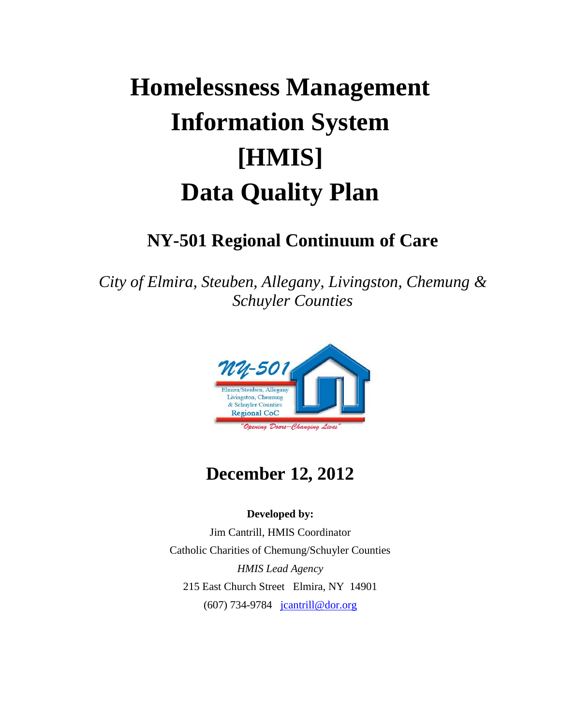# **Homelessness Management Information System [HMIS] Data Quality Plan**

# **NY-501 Regional Continuum of Care**

*City of Elmira, Steuben, Allegany, Livingston, Chemung & Schuyler Counties*



# **December 12, 2012**

#### **Developed by:**

Jim Cantrill, HMIS Coordinator Catholic Charities of Chemung/Schuyler Counties *HMIS Lead Agency* 215 East Church Street Elmira, NY 14901 (607) 734-9784 [jcantrill@dor.org](mailto:jcantrill@dor.org)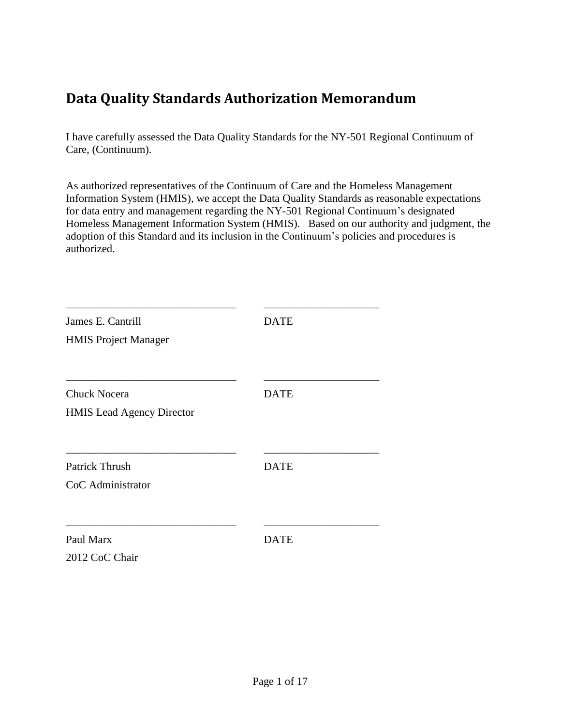# <span id="page-1-0"></span>**Data Quality Standards Authorization Memorandum**

I have carefully assessed the Data Quality Standards for the NY-501 Regional Continuum of Care, (Continuum).

As authorized representatives of the Continuum of Care and the Homeless Management Information System (HMIS), we accept the Data Quality Standards as reasonable expectations for data entry and management regarding the NY-501 Regional Continuum's designated Homeless Management Information System (HMIS). Based on our authority and judgment, the adoption of this Standard and its inclusion in the Continuum's policies and procedures is authorized.

| James E. Cantrill<br><b>HMIS Project Manager</b>        | <b>DATE</b> |
|---------------------------------------------------------|-------------|
| <b>Chuck Nocera</b><br><b>HMIS</b> Lead Agency Director | <b>DATE</b> |
| <b>Patrick Thrush</b><br>CoC Administrator              | <b>DATE</b> |
| Paul Marx<br>2012 CoC Chair                             | <b>DATE</b> |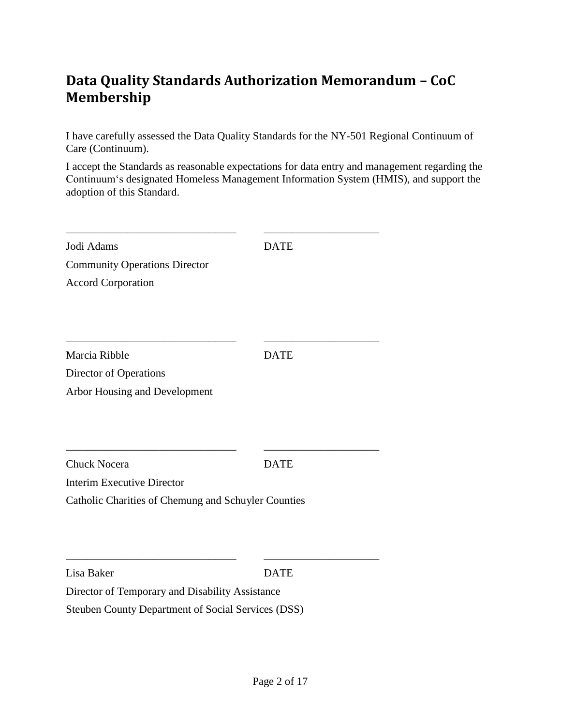# <span id="page-2-0"></span>**Data Quality Standards Authorization Memorandum – CoC Membership**

I have carefully assessed the Data Quality Standards for the NY-501 Regional Continuum of Care (Continuum).

I accept the Standards as reasonable expectations for data entry and management regarding the Continuum's designated Homeless Management Information System (HMIS), and support the adoption of this Standard.

| Jodi Adams                                                                                            | <b>DATE</b> |
|-------------------------------------------------------------------------------------------------------|-------------|
| <b>Community Operations Director</b>                                                                  |             |
| <b>Accord Corporation</b>                                                                             |             |
|                                                                                                       |             |
| Marcia Ribble                                                                                         | <b>DATE</b> |
| Director of Operations<br>Arbor Housing and Development                                               |             |
| <b>Chuck Nocera</b>                                                                                   | <b>DATE</b> |
| <b>Interim Executive Director</b>                                                                     |             |
| Catholic Charities of Chemung and Schuyler Counties                                                   |             |
|                                                                                                       |             |
| Lisa Baker                                                                                            | <b>DATE</b> |
| Director of Temporary and Disability Assistance<br>Steuben County Department of Social Services (DSS) |             |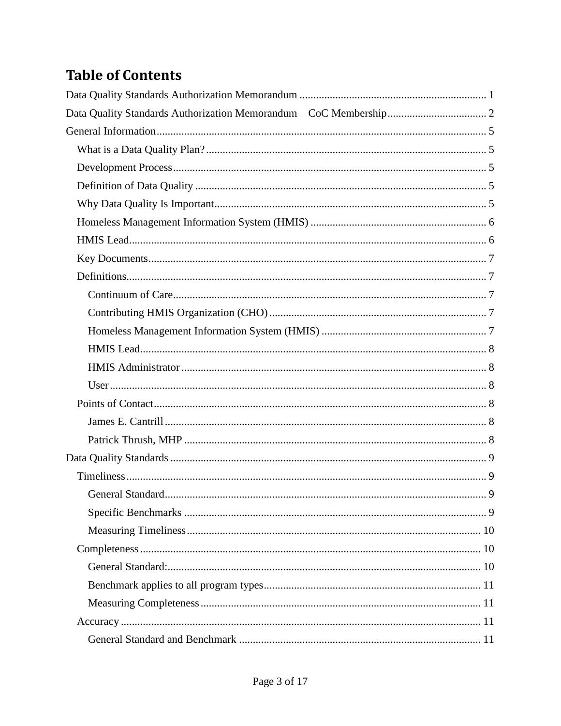# **Table of Contents**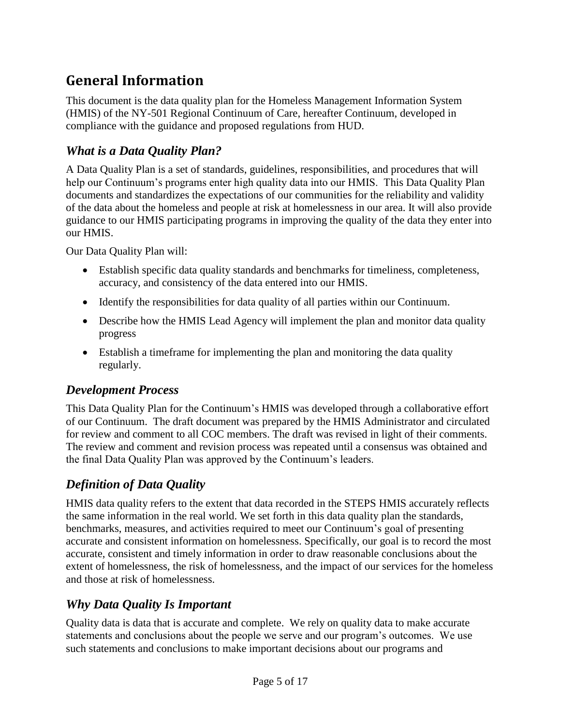# <span id="page-5-0"></span>**General Information**

This document is the data quality plan for the Homeless Management Information System (HMIS) of the NY-501 Regional Continuum of Care, hereafter Continuum, developed in compliance with the guidance and proposed regulations from HUD.

## <span id="page-5-1"></span>*What is a Data Quality Plan?*

A Data Quality Plan is a set of standards, guidelines, responsibilities, and procedures that will help our Continuum's programs enter high quality data into our HMIS. This Data Quality Plan documents and standardizes the expectations of our communities for the reliability and validity of the data about the homeless and people at risk at homelessness in our area. It will also provide guidance to our HMIS participating programs in improving the quality of the data they enter into our HMIS.

Our Data Quality Plan will:

- Establish specific data quality standards and benchmarks for timeliness, completeness, accuracy, and consistency of the data entered into our HMIS.
- Identify the responsibilities for data quality of all parties within our Continuum.
- Describe how the HMIS Lead Agency will implement the plan and monitor data quality progress
- Establish a timeframe for implementing the plan and monitoring the data quality regularly.

# <span id="page-5-2"></span>*Development Process*

This Data Quality Plan for the Continuum's HMIS was developed through a collaborative effort of our Continuum. The draft document was prepared by the HMIS Administrator and circulated for review and comment to all COC members. The draft was revised in light of their comments. The review and comment and revision process was repeated until a consensus was obtained and the final Data Quality Plan was approved by the Continuum's leaders.

# <span id="page-5-3"></span>*Definition of Data Quality*

HMIS data quality refers to the extent that data recorded in the STEPS HMIS accurately reflects the same information in the real world. We set forth in this data quality plan the standards, benchmarks, measures, and activities required to meet our Continuum's goal of presenting accurate and consistent information on homelessness. Specifically, our goal is to record the most accurate, consistent and timely information in order to draw reasonable conclusions about the extent of homelessness, the risk of homelessness, and the impact of our services for the homeless and those at risk of homelessness.

# <span id="page-5-4"></span>*Why Data Quality Is Important*

Quality data is data that is accurate and complete. We rely on quality data to make accurate statements and conclusions about the people we serve and our program's outcomes. We use such statements and conclusions to make important decisions about our programs and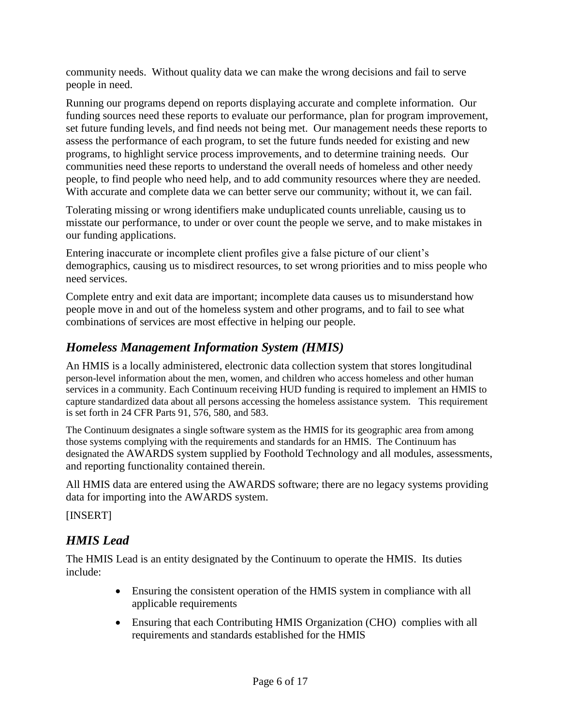community needs. Without quality data we can make the wrong decisions and fail to serve people in need.

Running our programs depend on reports displaying accurate and complete information. Our funding sources need these reports to evaluate our performance, plan for program improvement, set future funding levels, and find needs not being met. Our management needs these reports to assess the performance of each program, to set the future funds needed for existing and new programs, to highlight service process improvements, and to determine training needs. Our communities need these reports to understand the overall needs of homeless and other needy people, to find people who need help, and to add community resources where they are needed. With accurate and complete data we can better serve our community; without it, we can fail.

Tolerating missing or wrong identifiers make unduplicated counts unreliable, causing us to misstate our performance, to under or over count the people we serve, and to make mistakes in our funding applications.

Entering inaccurate or incomplete client profiles give a false picture of our client's demographics, causing us to misdirect resources, to set wrong priorities and to miss people who need services.

Complete entry and exit data are important; incomplete data causes us to misunderstand how people move in and out of the homeless system and other programs, and to fail to see what combinations of services are most effective in helping our people.

# <span id="page-6-0"></span>*Homeless Management Information System (HMIS)*

An HMIS is a locally administered, electronic data collection system that stores longitudinal person-level information about the men, women, and children who access homeless and other human services in a community. Each Continuum receiving HUD funding is required to implement an HMIS to capture standardized data about all persons accessing the homeless assistance system. This requirement is set forth in 24 CFR Parts 91, 576, 580, and 583.

The Continuum designates a single software system as the HMIS for its geographic area from among those systems complying with the requirements and standards for an HMIS. The Continuum has designated the AWARDS system supplied by Foothold Technology and all modules, assessments, and reporting functionality contained therein.

All HMIS data are entered using the AWARDS software; there are no legacy systems providing data for importing into the AWARDS system.

[INSERT]

# <span id="page-6-1"></span>*HMIS Lead*

The HMIS Lead is an entity designated by the Continuum to operate the HMIS. Its duties include:

- Ensuring the consistent operation of the HMIS system in compliance with all applicable requirements
- Ensuring that each Contributing HMIS Organization (CHO) complies with all requirements and standards established for the HMIS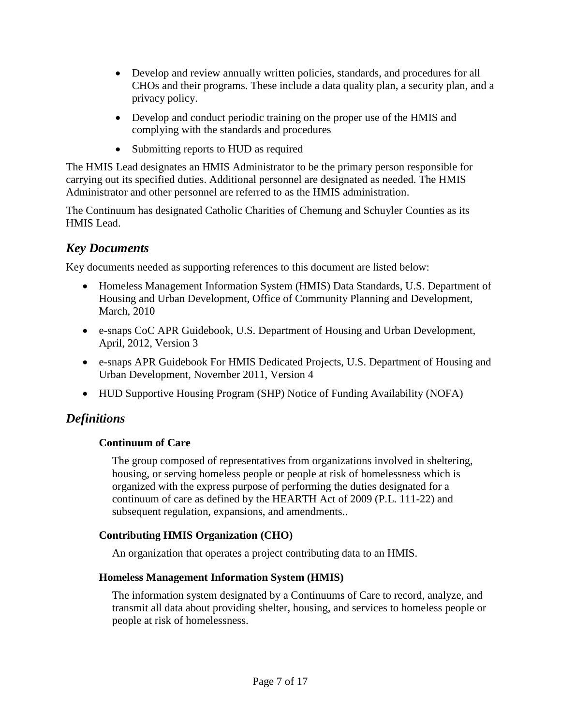- Develop and review annually written policies, standards, and procedures for all CHOs and their programs. These include a data quality plan, a security plan, and a privacy policy.
- Develop and conduct periodic training on the proper use of the HMIS and complying with the standards and procedures
- Submitting reports to HUD as required

The HMIS Lead designates an HMIS Administrator to be the primary person responsible for carrying out its specified duties. Additional personnel are designated as needed. The HMIS Administrator and other personnel are referred to as the HMIS administration.

The Continuum has designated Catholic Charities of Chemung and Schuyler Counties as its HMIS Lead.

# <span id="page-7-0"></span>*Key Documents*

Key documents needed as supporting references to this document are listed below:

- Homeless Management Information System (HMIS) Data Standards, U.S. Department of Housing and Urban Development, Office of Community Planning and Development, March, 2010
- e-snaps CoC APR Guidebook, U.S. Department of Housing and Urban Development, April, 2012, Version 3
- e-snaps APR Guidebook For HMIS Dedicated Projects, U.S. Department of Housing and Urban Development, November 2011, Version 4
- HUD Supportive Housing Program (SHP) Notice of Funding Availability (NOFA)

### <span id="page-7-2"></span><span id="page-7-1"></span>*Definitions*

#### **Continuum of Care**

The group composed of representatives from organizations involved in sheltering, housing, or serving homeless people or people at risk of homelessness which is organized with the express purpose of performing the duties designated for a continuum of care as defined by the HEARTH Act of 2009 (P.L. 111-22) and subsequent regulation, expansions, and amendments..

#### <span id="page-7-3"></span>**Contributing HMIS Organization (CHO)**

An organization that operates a project contributing data to an HMIS.

#### <span id="page-7-4"></span>**Homeless Management Information System (HMIS)**

The information system designated by a Continuums of Care to record, analyze, and transmit all data about providing shelter, housing, and services to homeless people or people at risk of homelessness.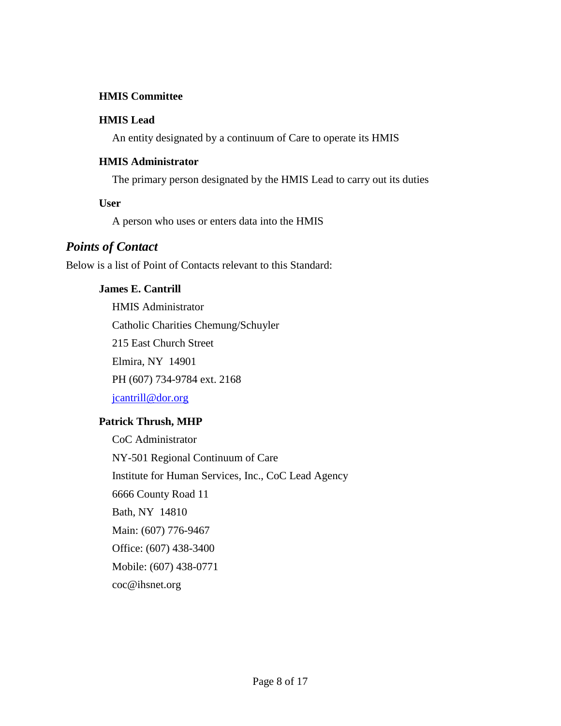#### <span id="page-8-0"></span>**HMIS Committee**

#### **HMIS Lead**

An entity designated by a continuum of Care to operate its HMIS

#### <span id="page-8-1"></span>**HMIS Administrator**

The primary person designated by the HMIS Lead to carry out its duties

#### <span id="page-8-2"></span>**User**

A person who uses or enters data into the HMIS

#### <span id="page-8-3"></span>*Points of Contact*

<span id="page-8-4"></span>Below is a list of Point of Contacts relevant to this Standard:

#### **James E. Cantrill**

HMIS Administrator Catholic Charities Chemung/Schuyler 215 East Church Street Elmira, NY 14901 PH (607) 734-9784 ext. 2168 [jcantrill@dor.org](mailto:jcantrill@dor.org)

#### <span id="page-8-5"></span>**Patrick Thrush, MHP**

CoC Administrator NY-501 Regional Continuum of Care Institute for Human Services, Inc., CoC Lead Agency 6666 County Road 11 Bath, NY 14810 Main: (607) 776-9467 Office: (607) 438-3400 Mobile: (607) 438-0771 coc@ihsnet.org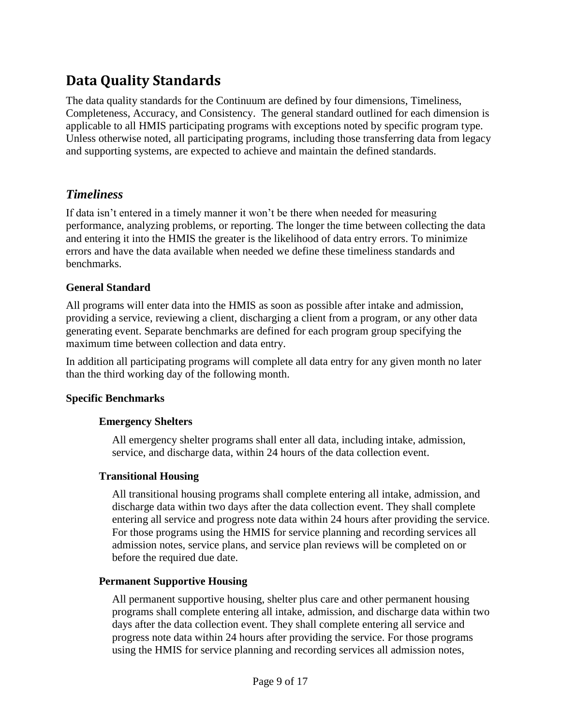# <span id="page-9-0"></span>**Data Quality Standards**

The data quality standards for the Continuum are defined by four dimensions, Timeliness, Completeness, Accuracy, and Consistency. The general standard outlined for each dimension is applicable to all HMIS participating programs with exceptions noted by specific program type. Unless otherwise noted, all participating programs, including those transferring data from legacy and supporting systems, are expected to achieve and maintain the defined standards.

#### <span id="page-9-1"></span>*Timeliness*

If data isn't entered in a timely manner it won't be there when needed for measuring performance, analyzing problems, or reporting. The longer the time between collecting the data and entering it into the HMIS the greater is the likelihood of data entry errors. To minimize errors and have the data available when needed we define these timeliness standards and benchmarks.

#### <span id="page-9-2"></span>**General Standard**

All programs will enter data into the HMIS as soon as possible after intake and admission, providing a service, reviewing a client, discharging a client from a program, or any other data generating event. Separate benchmarks are defined for each program group specifying the maximum time between collection and data entry.

In addition all participating programs will complete all data entry for any given month no later than the third working day of the following month.

#### <span id="page-9-3"></span>**Specific Benchmarks**

#### **Emergency Shelters**

All emergency shelter programs shall enter all data, including intake, admission, service, and discharge data, within 24 hours of the data collection event.

#### **Transitional Housing**

All transitional housing programs shall complete entering all intake, admission, and discharge data within two days after the data collection event. They shall complete entering all service and progress note data within 24 hours after providing the service. For those programs using the HMIS for service planning and recording services all admission notes, service plans, and service plan reviews will be completed on or before the required due date.

#### **Permanent Supportive Housing**

All permanent supportive housing, shelter plus care and other permanent housing programs shall complete entering all intake, admission, and discharge data within two days after the data collection event. They shall complete entering all service and progress note data within 24 hours after providing the service. For those programs using the HMIS for service planning and recording services all admission notes,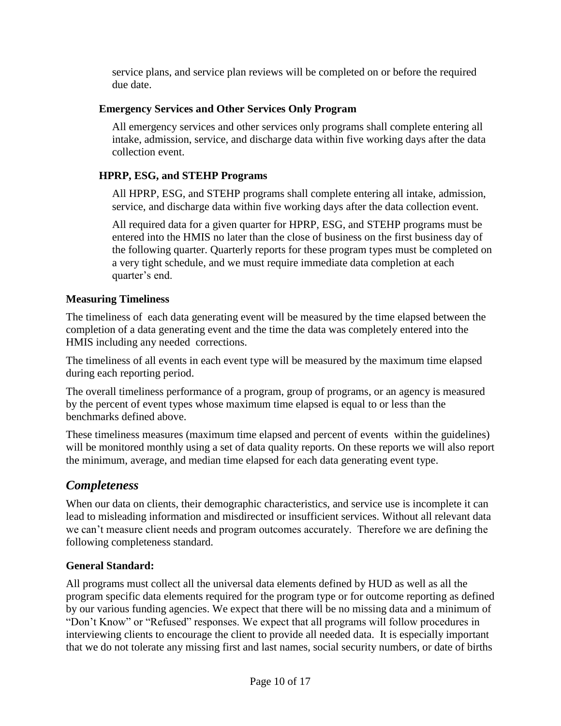service plans, and service plan reviews will be completed on or before the required due date.

#### **Emergency Services and Other Services Only Program**

All emergency services and other services only programs shall complete entering all intake, admission, service, and discharge data within five working days after the data collection event.

#### **HPRP, ESG, and STEHP Programs**

All HPRP, ESG, and STEHP programs shall complete entering all intake, admission, service, and discharge data within five working days after the data collection event.

All required data for a given quarter for HPRP, ESG, and STEHP programs must be entered into the HMIS no later than the close of business on the first business day of the following quarter. Quarterly reports for these program types must be completed on a very tight schedule, and we must require immediate data completion at each quarter's end.

#### <span id="page-10-0"></span>**Measuring Timeliness**

The timeliness of each data generating event will be measured by the time elapsed between the completion of a data generating event and the time the data was completely entered into the HMIS including any needed corrections.

The timeliness of all events in each event type will be measured by the maximum time elapsed during each reporting period.

The overall timeliness performance of a program, group of programs, or an agency is measured by the percent of event types whose maximum time elapsed is equal to or less than the benchmarks defined above.

These timeliness measures (maximum time elapsed and percent of events within the guidelines) will be monitored monthly using a set of data quality reports. On these reports we will also report the minimum, average, and median time elapsed for each data generating event type.

#### <span id="page-10-1"></span>*Completeness*

When our data on clients, their demographic characteristics, and service use is incomplete it can lead to misleading information and misdirected or insufficient services. Without all relevant data we can't measure client needs and program outcomes accurately. Therefore we are defining the following completeness standard.

#### <span id="page-10-2"></span>**General Standard:**

All programs must collect all the universal data elements defined by HUD as well as all the program specific data elements required for the program type or for outcome reporting as defined by our various funding agencies. We expect that there will be no missing data and a minimum of "Don't Know" or "Refused" responses. We expect that all programs will follow procedures in interviewing clients to encourage the client to provide all needed data. It is especially important that we do not tolerate any missing first and last names, social security numbers, or date of births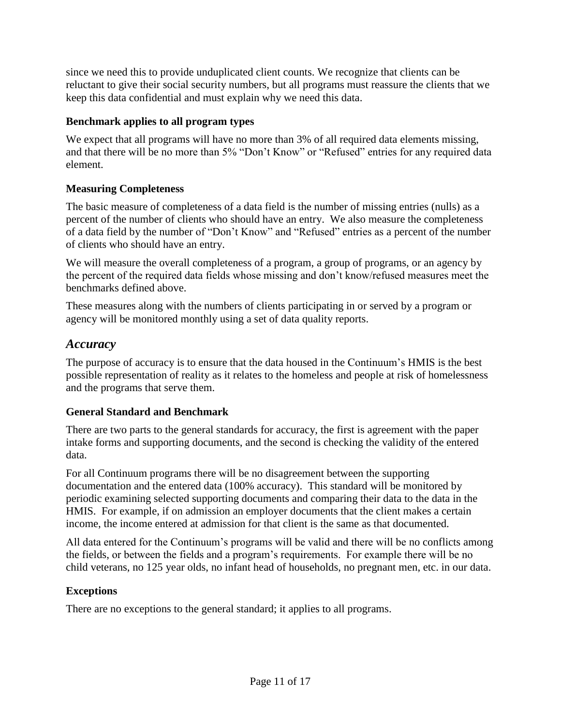since we need this to provide unduplicated client counts. We recognize that clients can be reluctant to give their social security numbers, but all programs must reassure the clients that we keep this data confidential and must explain why we need this data.

#### <span id="page-11-0"></span>**Benchmark applies to all program types**

We expect that all programs will have no more than 3% of all required data elements missing, and that there will be no more than 5% "Don't Know" or "Refused" entries for any required data element.

#### <span id="page-11-1"></span>**Measuring Completeness**

The basic measure of completeness of a data field is the number of missing entries (nulls) as a percent of the number of clients who should have an entry. We also measure the completeness of a data field by the number of "Don't Know" and "Refused" entries as a percent of the number of clients who should have an entry.

We will measure the overall completeness of a program, a group of programs, or an agency by the percent of the required data fields whose missing and don't know/refused measures meet the benchmarks defined above.

These measures along with the numbers of clients participating in or served by a program or agency will be monitored monthly using a set of data quality reports.

#### <span id="page-11-2"></span>*Accuracy*

The purpose of accuracy is to ensure that the data housed in the Continuum's HMIS is the best possible representation of reality as it relates to the homeless and people at risk of homelessness and the programs that serve them.

#### <span id="page-11-3"></span>**General Standard and Benchmark**

There are two parts to the general standards for accuracy, the first is agreement with the paper intake forms and supporting documents, and the second is checking the validity of the entered data.

For all Continuum programs there will be no disagreement between the supporting documentation and the entered data (100% accuracy). This standard will be monitored by periodic examining selected supporting documents and comparing their data to the data in the HMIS. For example, if on admission an employer documents that the client makes a certain income, the income entered at admission for that client is the same as that documented.

All data entered for the Continuum's programs will be valid and there will be no conflicts among the fields, or between the fields and a program's requirements. For example there will be no child veterans, no 125 year olds, no infant head of households, no pregnant men, etc. in our data.

#### <span id="page-11-4"></span>**Exceptions**

There are no exceptions to the general standard; it applies to all programs.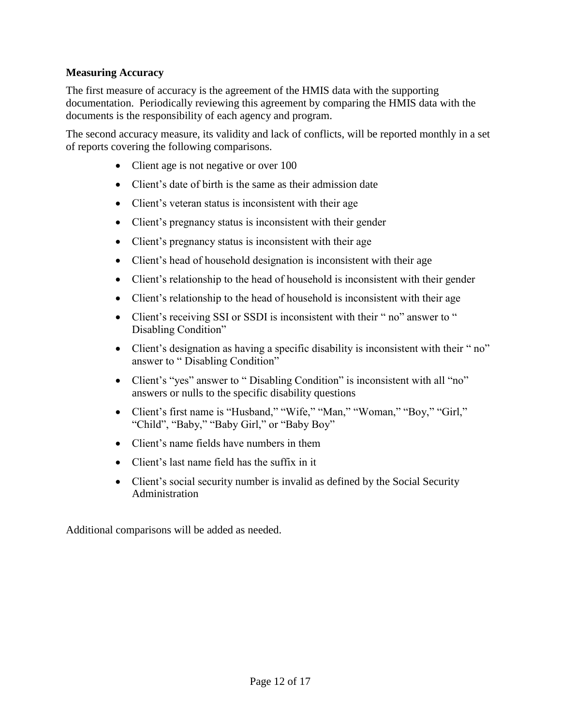#### <span id="page-12-0"></span>**Measuring Accuracy**

The first measure of accuracy is the agreement of the HMIS data with the supporting documentation. Periodically reviewing this agreement by comparing the HMIS data with the documents is the responsibility of each agency and program.

The second accuracy measure, its validity and lack of conflicts, will be reported monthly in a set of reports covering the following comparisons.

- Client age is not negative or over 100
- Client's date of birth is the same as their admission date
- Client's veteran status is inconsistent with their age
- Client's pregnancy status is inconsistent with their gender
- Client's pregnancy status is inconsistent with their age
- Client's head of household designation is inconsistent with their age
- Client's relationship to the head of household is inconsistent with their gender
- Client's relationship to the head of household is inconsistent with their age
- Client's receiving SSI or SSDI is inconsistent with their "no" answer to " Disabling Condition"
- Client's designation as having a specific disability is inconsistent with their "no" answer to " Disabling Condition"
- Client's "yes" answer to " Disabling Condition" is inconsistent with all "no" answers or nulls to the specific disability questions
- Client's first name is "Husband," "Wife," "Man," "Woman," "Boy," "Girl," "Child", "Baby," "Baby Girl," or "Baby Boy"
- Client's name fields have numbers in them
- Client's last name field has the suffix in it
- Client's social security number is invalid as defined by the Social Security Administration

<span id="page-12-1"></span>Additional comparisons will be added as needed.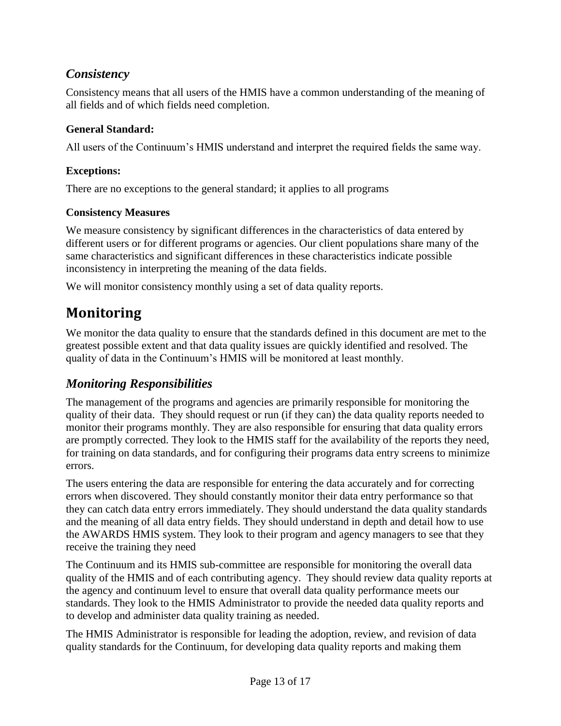## *Consistency*

Consistency means that all users of the HMIS have a common understanding of the meaning of all fields and of which fields need completion.

#### <span id="page-13-0"></span>**General Standard:**

All users of the Continuum's HMIS understand and interpret the required fields the same way.

#### <span id="page-13-1"></span>**Exceptions:**

There are no exceptions to the general standard; it applies to all programs

#### <span id="page-13-2"></span>**Consistency Measures**

We measure consistency by significant differences in the characteristics of data entered by different users or for different programs or agencies. Our client populations share many of the same characteristics and significant differences in these characteristics indicate possible inconsistency in interpreting the meaning of the data fields.

We will monitor consistency monthly using a set of data quality reports.

# <span id="page-13-3"></span>**Monitoring**

We monitor the data quality to ensure that the standards defined in this document are met to the greatest possible extent and that data quality issues are quickly identified and resolved. The quality of data in the Continuum's HMIS will be monitored at least monthly.

### <span id="page-13-4"></span>*Monitoring Responsibilities*

The management of the programs and agencies are primarily responsible for monitoring the quality of their data. They should request or run (if they can) the data quality reports needed to monitor their programs monthly. They are also responsible for ensuring that data quality errors are promptly corrected. They look to the HMIS staff for the availability of the reports they need, for training on data standards, and for configuring their programs data entry screens to minimize errors.

The users entering the data are responsible for entering the data accurately and for correcting errors when discovered. They should constantly monitor their data entry performance so that they can catch data entry errors immediately. They should understand the data quality standards and the meaning of all data entry fields. They should understand in depth and detail how to use the AWARDS HMIS system. They look to their program and agency managers to see that they receive the training they need

The Continuum and its HMIS sub-committee are responsible for monitoring the overall data quality of the HMIS and of each contributing agency. They should review data quality reports at the agency and continuum level to ensure that overall data quality performance meets our standards. They look to the HMIS Administrator to provide the needed data quality reports and to develop and administer data quality training as needed.

The HMIS Administrator is responsible for leading the adoption, review, and revision of data quality standards for the Continuum, for developing data quality reports and making them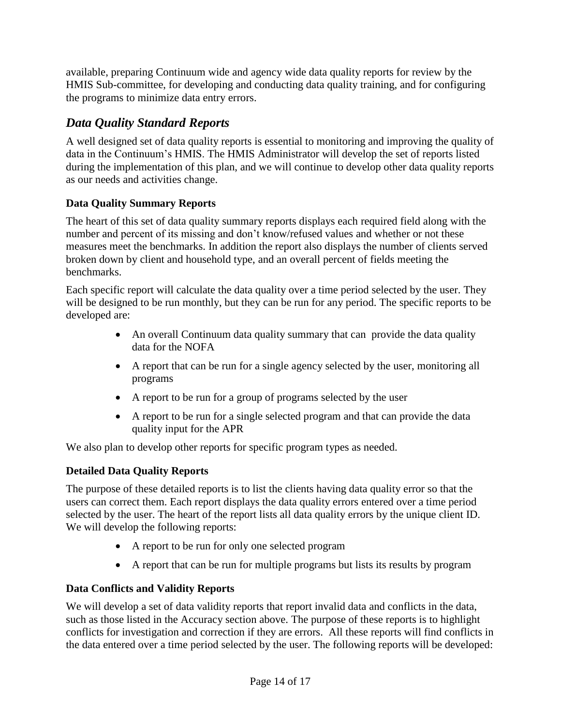available, preparing Continuum wide and agency wide data quality reports for review by the HMIS Sub-committee, for developing and conducting data quality training, and for configuring the programs to minimize data entry errors.

# <span id="page-14-0"></span>*Data Quality Standard Reports*

A well designed set of data quality reports is essential to monitoring and improving the quality of data in the Continuum's HMIS. The HMIS Administrator will develop the set of reports listed during the implementation of this plan, and we will continue to develop other data quality reports as our needs and activities change.

#### <span id="page-14-1"></span>**Data Quality Summary Reports**

The heart of this set of data quality summary reports displays each required field along with the number and percent of its missing and don't know/refused values and whether or not these measures meet the benchmarks. In addition the report also displays the number of clients served broken down by client and household type, and an overall percent of fields meeting the benchmarks.

Each specific report will calculate the data quality over a time period selected by the user. They will be designed to be run monthly, but they can be run for any period. The specific reports to be developed are:

- An overall Continuum data quality summary that can provide the data quality data for the NOFA
- A report that can be run for a single agency selected by the user, monitoring all programs
- A report to be run for a group of programs selected by the user
- A report to be run for a single selected program and that can provide the data quality input for the APR

We also plan to develop other reports for specific program types as needed.

#### <span id="page-14-2"></span>**Detailed Data Quality Reports**

The purpose of these detailed reports is to list the clients having data quality error so that the users can correct them. Each report displays the data quality errors entered over a time period selected by the user. The heart of the report lists all data quality errors by the unique client ID. We will develop the following reports:

- A report to be run for only one selected program
- A report that can be run for multiple programs but lists its results by program

#### <span id="page-14-3"></span>**Data Conflicts and Validity Reports**

We will develop a set of data validity reports that report invalid data and conflicts in the data, such as those listed in the Accuracy section above. The purpose of these reports is to highlight conflicts for investigation and correction if they are errors. All these reports will find conflicts in the data entered over a time period selected by the user. The following reports will be developed: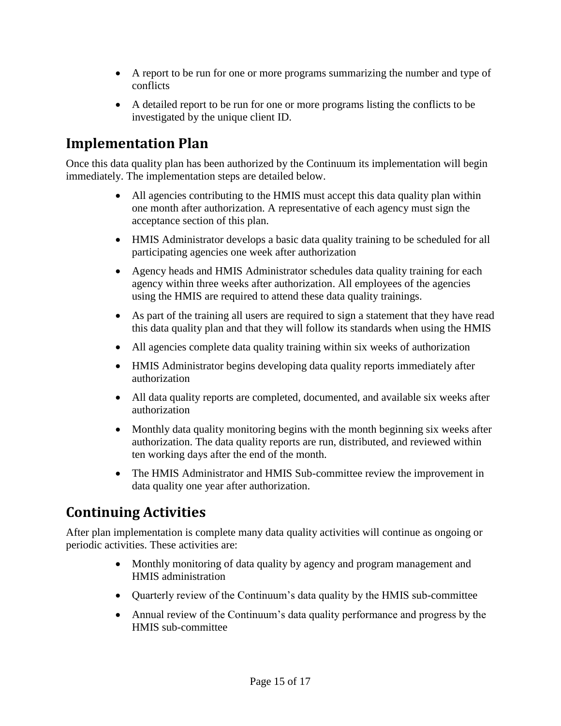- A report to be run for one or more programs summarizing the number and type of conflicts
- A detailed report to be run for one or more programs listing the conflicts to be investigated by the unique client ID.

# <span id="page-15-0"></span>**Implementation Plan**

Once this data quality plan has been authorized by the Continuum its implementation will begin immediately. The implementation steps are detailed below.

- All agencies contributing to the HMIS must accept this data quality plan within one month after authorization. A representative of each agency must sign the acceptance section of this plan.
- HMIS Administrator develops a basic data quality training to be scheduled for all participating agencies one week after authorization
- Agency heads and HMIS Administrator schedules data quality training for each agency within three weeks after authorization. All employees of the agencies using the HMIS are required to attend these data quality trainings.
- As part of the training all users are required to sign a statement that they have read this data quality plan and that they will follow its standards when using the HMIS
- All agencies complete data quality training within six weeks of authorization
- HMIS Administrator begins developing data quality reports immediately after authorization
- All data quality reports are completed, documented, and available six weeks after authorization
- Monthly data quality monitoring begins with the month beginning six weeks after authorization. The data quality reports are run, distributed, and reviewed within ten working days after the end of the month.
- The HMIS Administrator and HMIS Sub-committee review the improvement in data quality one year after authorization.

# <span id="page-15-1"></span>**Continuing Activities**

After plan implementation is complete many data quality activities will continue as ongoing or periodic activities. These activities are:

- Monthly monitoring of data quality by agency and program management and HMIS administration
- Quarterly review of the Continuum's data quality by the HMIS sub-committee
- Annual review of the Continuum's data quality performance and progress by the HMIS sub-committee